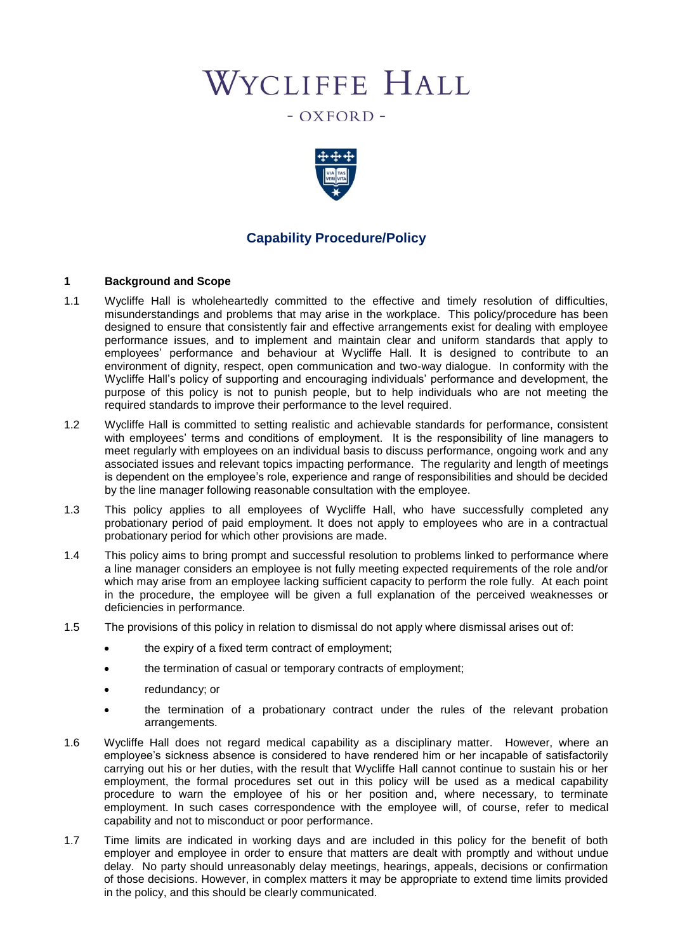# WYCLIFFE HALL

 $-$  OXFORD  $-$ 



## **Capability Procedure/Policy**

## **1 Background and Scope**

- 1.1 Wycliffe Hall is wholeheartedly committed to the effective and timely resolution of difficulties, misunderstandings and problems that may arise in the workplace. This policy/procedure has been designed to ensure that consistently fair and effective arrangements exist for dealing with employee performance issues, and to implement and maintain clear and uniform standards that apply to employees' performance and behaviour at Wycliffe Hall. It is designed to contribute to an environment of dignity, respect, open communication and two-way dialogue. In conformity with the Wycliffe Hall's policy of supporting and encouraging individuals' performance and development, the purpose of this policy is not to punish people, but to help individuals who are not meeting the required standards to improve their performance to the level required.
- 1.2 Wycliffe Hall is committed to setting realistic and achievable standards for performance, consistent with employees' terms and conditions of employment. It is the responsibility of line managers to meet regularly with employees on an individual basis to discuss performance, ongoing work and any associated issues and relevant topics impacting performance. The regularity and length of meetings is dependent on the employee's role, experience and range of responsibilities and should be decided by the line manager following reasonable consultation with the employee.
- 1.3 This policy applies to all employees of Wycliffe Hall, who have successfully completed any probationary period of paid employment. It does not apply to employees who are in a contractual probationary period for which other provisions are made.
- 1.4 This policy aims to bring prompt and successful resolution to problems linked to performance where a line manager considers an employee is not fully meeting expected requirements of the role and/or which may arise from an employee lacking sufficient capacity to perform the role fully. At each point in the procedure, the employee will be given a full explanation of the perceived weaknesses or deficiencies in performance.
- 1.5 The provisions of this policy in relation to dismissal do not apply where dismissal arises out of:
	- the expiry of a fixed term contract of employment;
	- the termination of casual or temporary contracts of employment;
	- redundancy; or
	- the termination of a probationary contract under the rules of the relevant probation arrangements.
- 1.6 Wycliffe Hall does not regard medical capability as a disciplinary matter. However, where an employee's sickness absence is considered to have rendered him or her incapable of satisfactorily carrying out his or her duties, with the result that Wycliffe Hall cannot continue to sustain his or her employment, the formal procedures set out in this policy will be used as a medical capability procedure to warn the employee of his or her position and, where necessary, to terminate employment. In such cases correspondence with the employee will, of course, refer to medical capability and not to misconduct or poor performance.
- 1.7 Time limits are indicated in working days and are included in this policy for the benefit of both employer and employee in order to ensure that matters are dealt with promptly and without undue delay. No party should unreasonably delay meetings, hearings, appeals, decisions or confirmation of those decisions. However, in complex matters it may be appropriate to extend time limits provided in the policy, and this should be clearly communicated.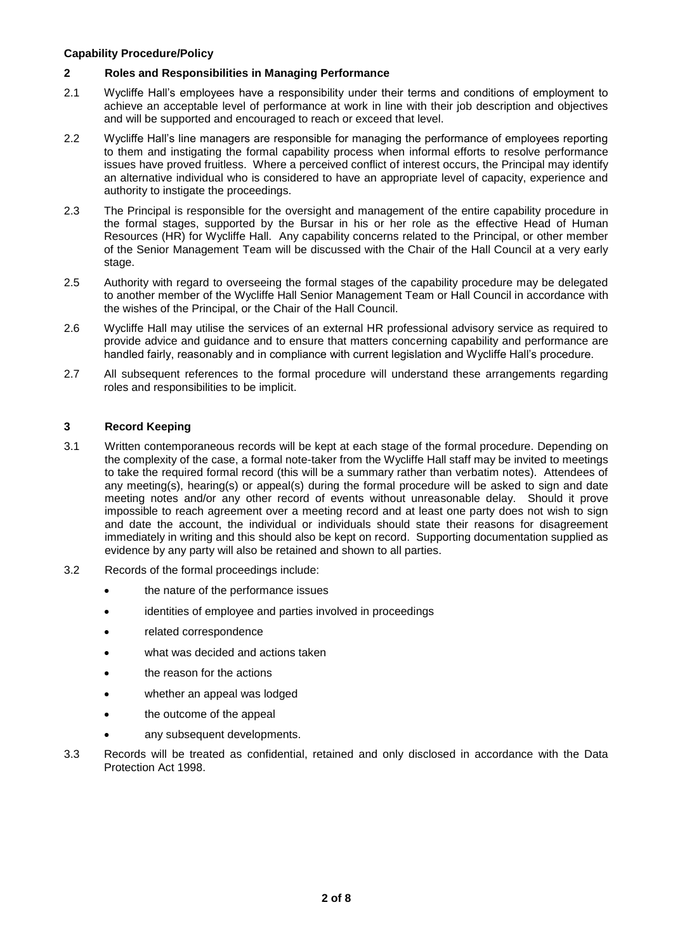## **2 Roles and Responsibilities in Managing Performance**

- 2.1 Wycliffe Hall's employees have a responsibility under their terms and conditions of employment to achieve an acceptable level of performance at work in line with their job description and objectives and will be supported and encouraged to reach or exceed that level.
- 2.2 Wycliffe Hall's line managers are responsible for managing the performance of employees reporting to them and instigating the formal capability process when informal efforts to resolve performance issues have proved fruitless. Where a perceived conflict of interest occurs, the Principal may identify an alternative individual who is considered to have an appropriate level of capacity, experience and authority to instigate the proceedings.
- 2.3 The Principal is responsible for the oversight and management of the entire capability procedure in the formal stages, supported by the Bursar in his or her role as the effective Head of Human Resources (HR) for Wycliffe Hall. Any capability concerns related to the Principal, or other member of the Senior Management Team will be discussed with the Chair of the Hall Council at a very early stage.
- 2.5 Authority with regard to overseeing the formal stages of the capability procedure may be delegated to another member of the Wycliffe Hall Senior Management Team or Hall Council in accordance with the wishes of the Principal, or the Chair of the Hall Council.
- 2.6 Wycliffe Hall may utilise the services of an external HR professional advisory service as required to provide advice and guidance and to ensure that matters concerning capability and performance are handled fairly, reasonably and in compliance with current legislation and Wycliffe Hall's procedure.
- 2.7 All subsequent references to the formal procedure will understand these arrangements regarding roles and responsibilities to be implicit.

## **3 Record Keeping**

- 3.1 Written contemporaneous records will be kept at each stage of the formal procedure. Depending on the complexity of the case, a formal note-taker from the Wycliffe Hall staff may be invited to meetings to take the required formal record (this will be a summary rather than verbatim notes). Attendees of any meeting(s), hearing(s) or appeal(s) during the formal procedure will be asked to sign and date meeting notes and/or any other record of events without unreasonable delay. Should it prove impossible to reach agreement over a meeting record and at least one party does not wish to sign and date the account, the individual or individuals should state their reasons for disagreement immediately in writing and this should also be kept on record. Supporting documentation supplied as evidence by any party will also be retained and shown to all parties.
- 3.2 Records of the formal proceedings include:
	- the nature of the performance issues
	- identities of employee and parties involved in proceedings
	- related correspondence
	- what was decided and actions taken
	- the reason for the actions
	- whether an appeal was lodged
	- the outcome of the appeal
	- any subsequent developments.
- 3.3 Records will be treated as confidential, retained and only disclosed in accordance with the Data Protection Act 1998.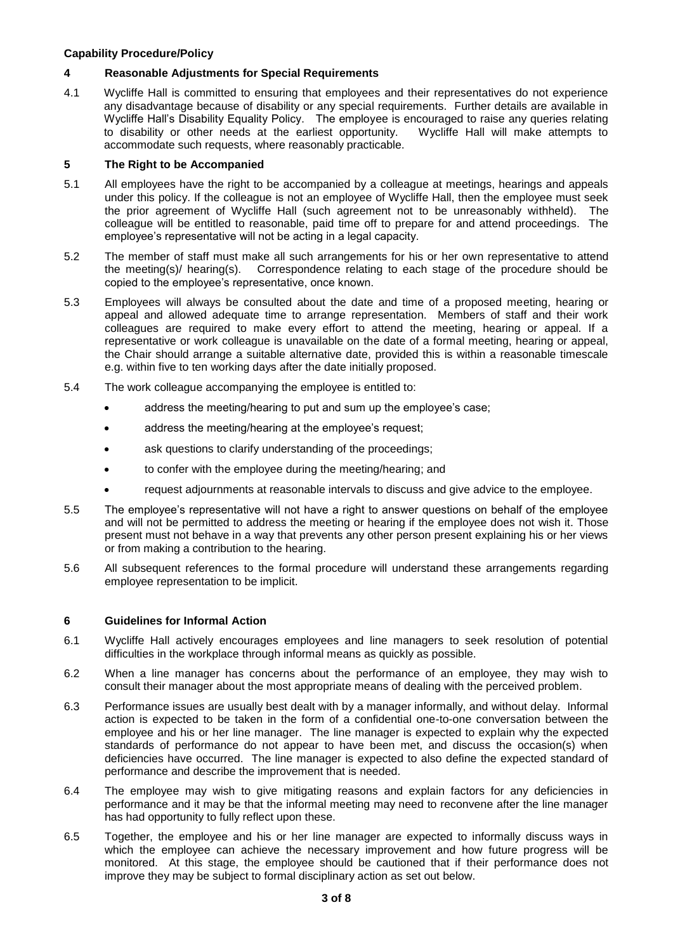### **4 Reasonable Adjustments for Special Requirements**

4.1 Wycliffe Hall is committed to ensuring that employees and their representatives do not experience any disadvantage because of disability or any special requirements. Further details are available in Wycliffe Hall's Disability Equality Policy. The employee is encouraged to raise any queries relating<br>to disability or other needs at the earliest opportunity. Wycliffe Hall will make attempts to to disability or other needs at the earliest opportunity. accommodate such requests, where reasonably practicable.

### **5 The Right to be Accompanied**

- 5.1 All employees have the right to be accompanied by a colleague at meetings, hearings and appeals under this policy. If the colleague is not an employee of Wycliffe Hall, then the employee must seek the prior agreement of Wycliffe Hall (such agreement not to be unreasonably withheld). The colleague will be entitled to reasonable, paid time off to prepare for and attend proceedings. The employee's representative will not be acting in a legal capacity.
- 5.2 The member of staff must make all such arrangements for his or her own representative to attend the meeting(s)/ hearing(s). Correspondence relating to each stage of the procedure should be copied to the employee's representative, once known.
- 5.3 Employees will always be consulted about the date and time of a proposed meeting, hearing or appeal and allowed adequate time to arrange representation. Members of staff and their work colleagues are required to make every effort to attend the meeting, hearing or appeal. If a representative or work colleague is unavailable on the date of a formal meeting, hearing or appeal, the Chair should arrange a suitable alternative date, provided this is within a reasonable timescale e.g. within five to ten working days after the date initially proposed.
- 5.4 The work colleague accompanying the employee is entitled to:
	- address the meeting/hearing to put and sum up the employee's case;
	- address the meeting/hearing at the employee's request;
	- ask questions to clarify understanding of the proceedings;
	- to confer with the employee during the meeting/hearing; and
	- request adjournments at reasonable intervals to discuss and give advice to the employee.
- 5.5 The employee's representative will not have a right to answer questions on behalf of the employee and will not be permitted to address the meeting or hearing if the employee does not wish it. Those present must not behave in a way that prevents any other person present explaining his or her views or from making a contribution to the hearing.
- 5.6 All subsequent references to the formal procedure will understand these arrangements regarding employee representation to be implicit.

## **6 Guidelines for Informal Action**

- 6.1 Wycliffe Hall actively encourages employees and line managers to seek resolution of potential difficulties in the workplace through informal means as quickly as possible.
- 6.2 When a line manager has concerns about the performance of an employee, they may wish to consult their manager about the most appropriate means of dealing with the perceived problem.
- 6.3 Performance issues are usually best dealt with by a manager informally, and without delay. Informal action is expected to be taken in the form of a confidential one-to-one conversation between the employee and his or her line manager. The line manager is expected to explain why the expected standards of performance do not appear to have been met, and discuss the occasion(s) when deficiencies have occurred. The line manager is expected to also define the expected standard of performance and describe the improvement that is needed.
- 6.4 The employee may wish to give mitigating reasons and explain factors for any deficiencies in performance and it may be that the informal meeting may need to reconvene after the line manager has had opportunity to fully reflect upon these.
- 6.5 Together, the employee and his or her line manager are expected to informally discuss ways in which the employee can achieve the necessary improvement and how future progress will be monitored. At this stage, the employee should be cautioned that if their performance does not improve they may be subject to formal disciplinary action as set out below.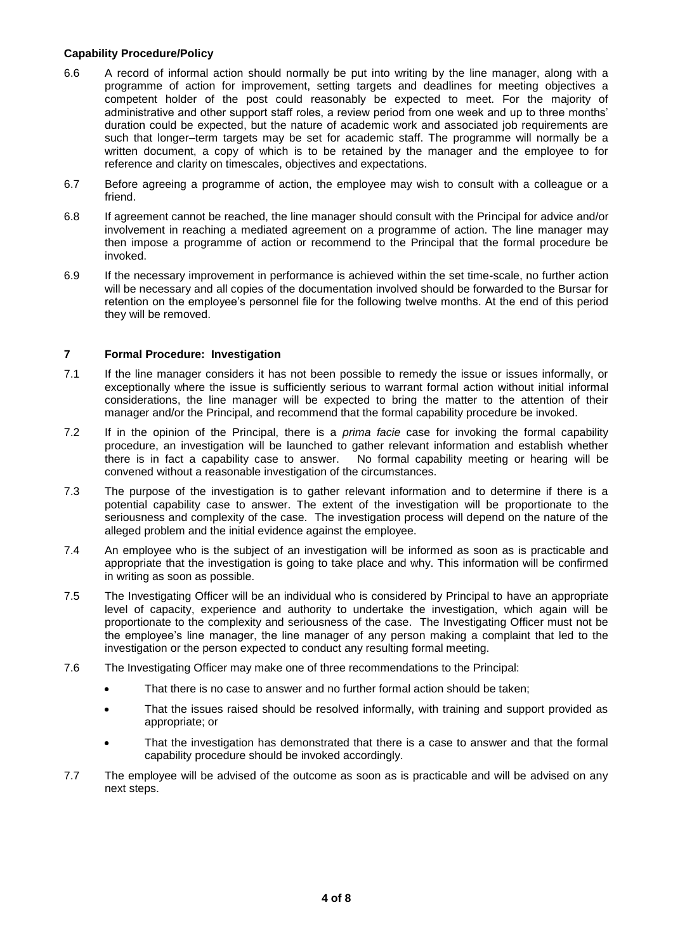- 6.6 A record of informal action should normally be put into writing by the line manager, along with a programme of action for improvement, setting targets and deadlines for meeting objectives a competent holder of the post could reasonably be expected to meet. For the majority of administrative and other support staff roles, a review period from one week and up to three months' duration could be expected, but the nature of academic work and associated job requirements are such that longer–term targets may be set for academic staff. The programme will normally be a written document, a copy of which is to be retained by the manager and the employee to for reference and clarity on timescales, objectives and expectations.
- 6.7 Before agreeing a programme of action, the employee may wish to consult with a colleague or a friend.
- 6.8 If agreement cannot be reached, the line manager should consult with the Principal for advice and/or involvement in reaching a mediated agreement on a programme of action. The line manager may then impose a programme of action or recommend to the Principal that the formal procedure be invoked.
- 6.9 If the necessary improvement in performance is achieved within the set time-scale, no further action will be necessary and all copies of the documentation involved should be forwarded to the Bursar for retention on the employee's personnel file for the following twelve months. At the end of this period they will be removed.

#### **7 Formal Procedure: Investigation**

- 7.1 If the line manager considers it has not been possible to remedy the issue or issues informally, or exceptionally where the issue is sufficiently serious to warrant formal action without initial informal considerations, the line manager will be expected to bring the matter to the attention of their manager and/or the Principal, and recommend that the formal capability procedure be invoked.
- 7.2 If in the opinion of the Principal, there is a *prima facie* case for invoking the formal capability procedure, an investigation will be launched to gather relevant information and establish whether there is in fact a capability case to answer. No formal capability meeting or hearing will be convened without a reasonable investigation of the circumstances.
- 7.3 The purpose of the investigation is to gather relevant information and to determine if there is a potential capability case to answer. The extent of the investigation will be proportionate to the seriousness and complexity of the case. The investigation process will depend on the nature of the alleged problem and the initial evidence against the employee.
- 7.4 An employee who is the subject of an investigation will be informed as soon as is practicable and appropriate that the investigation is going to take place and why. This information will be confirmed in writing as soon as possible.
- 7.5 The Investigating Officer will be an individual who is considered by Principal to have an appropriate level of capacity, experience and authority to undertake the investigation, which again will be proportionate to the complexity and seriousness of the case. The Investigating Officer must not be the employee's line manager, the line manager of any person making a complaint that led to the investigation or the person expected to conduct any resulting formal meeting.
- 7.6 The Investigating Officer may make one of three recommendations to the Principal:
	- That there is no case to answer and no further formal action should be taken;
	- That the issues raised should be resolved informally, with training and support provided as appropriate; or
	- That the investigation has demonstrated that there is a case to answer and that the formal capability procedure should be invoked accordingly.
- 7.7 The employee will be advised of the outcome as soon as is practicable and will be advised on any next steps.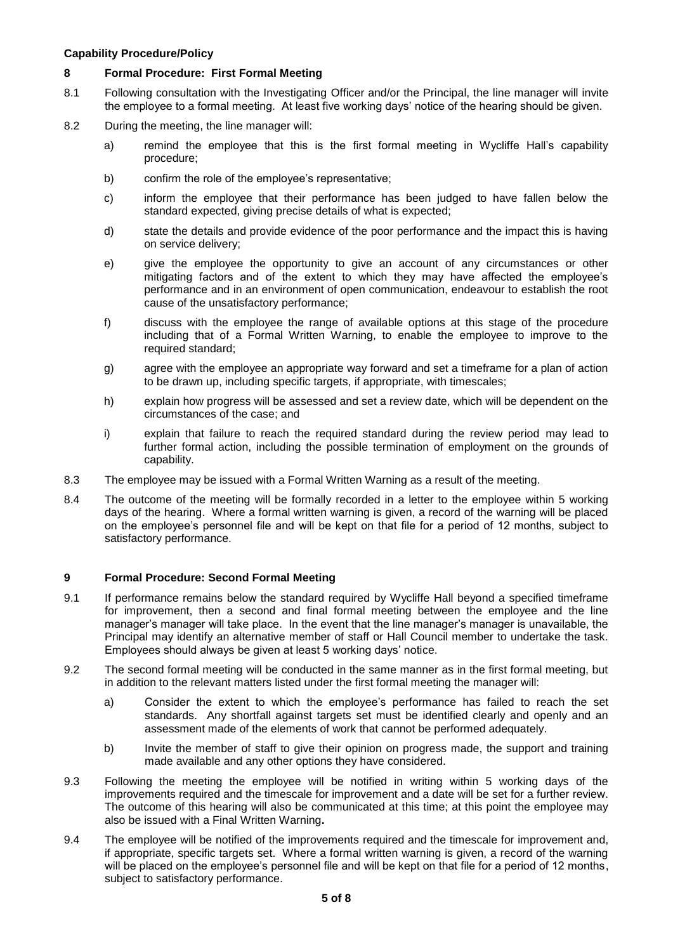### **8 Formal Procedure: First Formal Meeting**

- 8.1 Following consultation with the Investigating Officer and/or the Principal, the line manager will invite the employee to a formal meeting. At least five working days' notice of the hearing should be given.
- 8.2 During the meeting, the line manager will:
	- a) remind the employee that this is the first formal meeting in Wycliffe Hall's capability procedure;
	- b) confirm the role of the employee's representative;
	- c) inform the employee that their performance has been judged to have fallen below the standard expected, giving precise details of what is expected;
	- d) state the details and provide evidence of the poor performance and the impact this is having on service delivery;
	- e) give the employee the opportunity to give an account of any circumstances or other mitigating factors and of the extent to which they may have affected the employee's performance and in an environment of open communication, endeavour to establish the root cause of the unsatisfactory performance;
	- f) discuss with the employee the range of available options at this stage of the procedure including that of a Formal Written Warning, to enable the employee to improve to the required standard;
	- g) agree with the employee an appropriate way forward and set a timeframe for a plan of action to be drawn up, including specific targets, if appropriate, with timescales;
	- h) explain how progress will be assessed and set a review date, which will be dependent on the circumstances of the case; and
	- i) explain that failure to reach the required standard during the review period may lead to further formal action, including the possible termination of employment on the grounds of capability.
- 8.3 The employee may be issued with a Formal Written Warning as a result of the meeting.
- 8.4 The outcome of the meeting will be formally recorded in a letter to the employee within 5 working days of the hearing. Where a formal written warning is given, a record of the warning will be placed on the employee's personnel file and will be kept on that file for a period of 12 months, subject to satisfactory performance.

#### **9 Formal Procedure: Second Formal Meeting**

- 9.1 If performance remains below the standard required by Wycliffe Hall beyond a specified timeframe for improvement, then a second and final formal meeting between the employee and the line manager's manager will take place. In the event that the line manager's manager is unavailable, the Principal may identify an alternative member of staff or Hall Council member to undertake the task. Employees should always be given at least 5 working days' notice.
- 9.2 The second formal meeting will be conducted in the same manner as in the first formal meeting, but in addition to the relevant matters listed under the first formal meeting the manager will:
	- a) Consider the extent to which the employee's performance has failed to reach the set standards. Any shortfall against targets set must be identified clearly and openly and an assessment made of the elements of work that cannot be performed adequately.
	- b) Invite the member of staff to give their opinion on progress made, the support and training made available and any other options they have considered.
- 9.3 Following the meeting the employee will be notified in writing within 5 working days of the improvements required and the timescale for improvement and a date will be set for a further review. The outcome of this hearing will also be communicated at this time; at this point the employee may also be issued with a Final Written Warning**.**
- 9.4 The employee will be notified of the improvements required and the timescale for improvement and, if appropriate, specific targets set. Where a formal written warning is given, a record of the warning will be placed on the employee's personnel file and will be kept on that file for a period of 12 months, subject to satisfactory performance.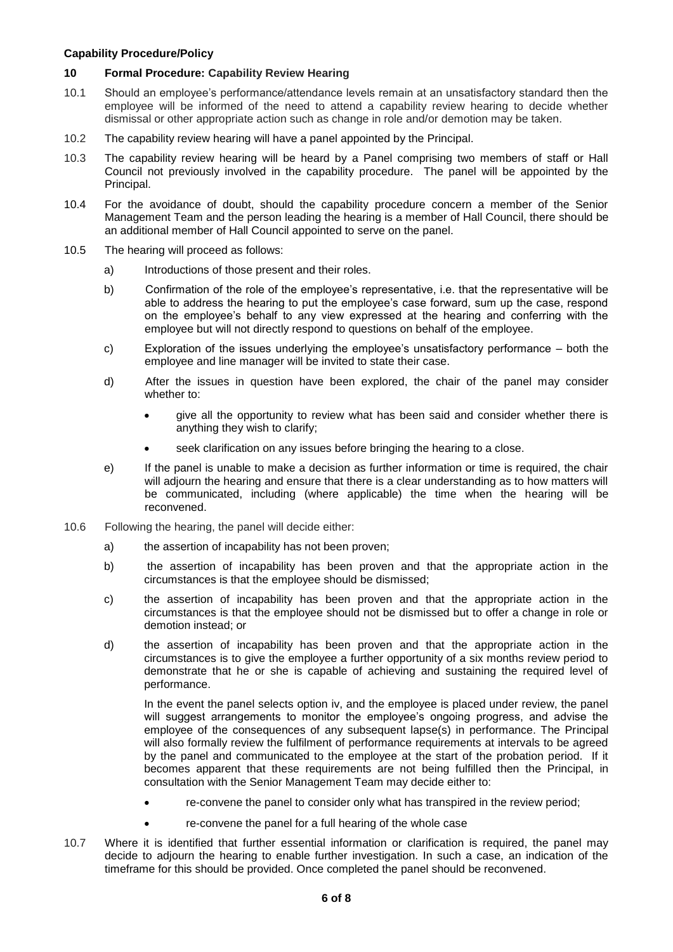#### **10 Formal Procedure: Capability Review Hearing**

- 10.1 Should an employee's performance/attendance levels remain at an unsatisfactory standard then the employee will be informed of the need to attend a capability review hearing to decide whether dismissal or other appropriate action such as change in role and/or demotion may be taken.
- 10.2 The capability review hearing will have a panel appointed by the Principal.
- 10.3 The capability review hearing will be heard by a Panel comprising two members of staff or Hall Council not previously involved in the capability procedure. The panel will be appointed by the Principal.
- 10.4 For the avoidance of doubt, should the capability procedure concern a member of the Senior Management Team and the person leading the hearing is a member of Hall Council, there should be an additional member of Hall Council appointed to serve on the panel.
- 10.5 The hearing will proceed as follows:
	- a) Introductions of those present and their roles.
	- b) Confirmation of the role of the employee's representative, i.e. that the representative will be able to address the hearing to put the employee's case forward, sum up the case, respond on the employee's behalf to any view expressed at the hearing and conferring with the employee but will not directly respond to questions on behalf of the employee.
	- c) Exploration of the issues underlying the employee's unsatisfactory performance both the employee and line manager will be invited to state their case.
	- d) After the issues in question have been explored, the chair of the panel may consider whether to:
		- give all the opportunity to review what has been said and consider whether there is anything they wish to clarify;
		- seek clarification on any issues before bringing the hearing to a close.
	- e) If the panel is unable to make a decision as further information or time is required, the chair will adjourn the hearing and ensure that there is a clear understanding as to how matters will be communicated, including (where applicable) the time when the hearing will be reconvened.
- 10.6 Following the hearing, the panel will decide either:
	- a) the assertion of incapability has not been proven;
	- b) the assertion of incapability has been proven and that the appropriate action in the circumstances is that the employee should be dismissed;
	- c) the assertion of incapability has been proven and that the appropriate action in the circumstances is that the employee should not be dismissed but to offer a change in role or demotion instead; or
	- d) the assertion of incapability has been proven and that the appropriate action in the circumstances is to give the employee a further opportunity of a six months review period to demonstrate that he or she is capable of achieving and sustaining the required level of performance.

In the event the panel selects option iv, and the employee is placed under review, the panel will suggest arrangements to monitor the employee's ongoing progress, and advise the employee of the consequences of any subsequent lapse(s) in performance. The Principal will also formally review the fulfilment of performance requirements at intervals to be agreed by the panel and communicated to the employee at the start of the probation period. If it becomes apparent that these requirements are not being fulfilled then the Principal, in consultation with the Senior Management Team may decide either to:

- re-convene the panel to consider only what has transpired in the review period;
- re-convene the panel for a full hearing of the whole case
- 10.7 Where it is identified that further essential information or clarification is required, the panel may decide to adjourn the hearing to enable further investigation. In such a case, an indication of the timeframe for this should be provided. Once completed the panel should be reconvened.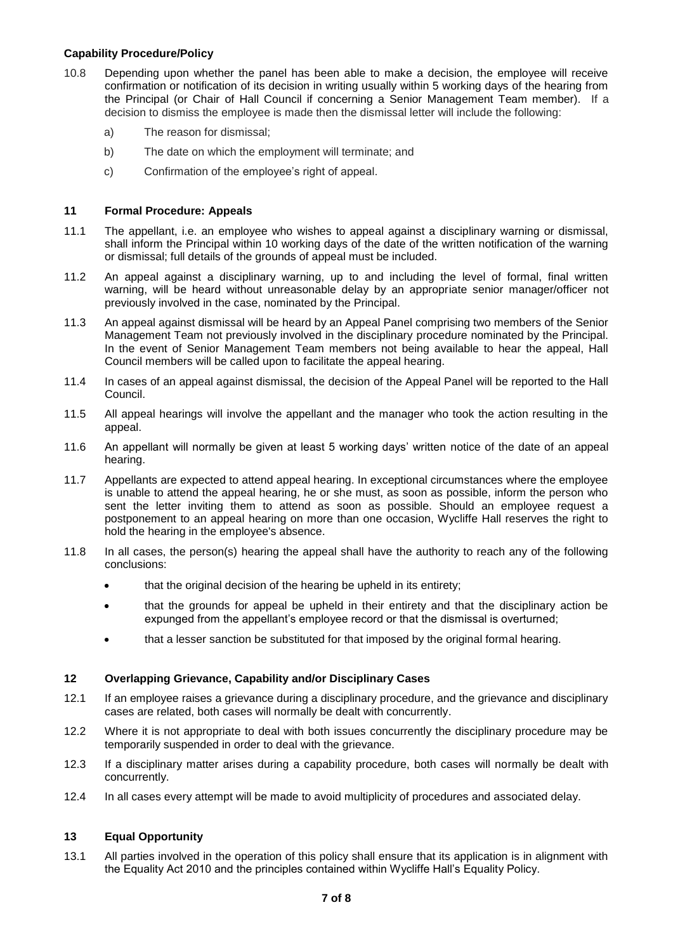- 10.8 Depending upon whether the panel has been able to make a decision, the employee will receive confirmation or notification of its decision in writing usually within 5 working days of the hearing from the Principal (or Chair of Hall Council if concerning a Senior Management Team member). If a decision to dismiss the employee is made then the dismissal letter will include the following:
	- a) The reason for dismissal;
	- b) The date on which the employment will terminate; and
	- c) Confirmation of the employee's right of appeal.

#### **11 Formal Procedure: Appeals**

- 11.1 The appellant, i.e. an employee who wishes to appeal against a disciplinary warning or dismissal, shall inform the Principal within 10 working days of the date of the written notification of the warning or dismissal; full details of the grounds of appeal must be included.
- 11.2 An appeal against a disciplinary warning, up to and including the level of formal, final written warning, will be heard without unreasonable delay by an appropriate senior manager/officer not previously involved in the case, nominated by the Principal.
- 11.3 An appeal against dismissal will be heard by an Appeal Panel comprising two members of the Senior Management Team not previously involved in the disciplinary procedure nominated by the Principal. In the event of Senior Management Team members not being available to hear the appeal, Hall Council members will be called upon to facilitate the appeal hearing.
- 11.4 In cases of an appeal against dismissal, the decision of the Appeal Panel will be reported to the Hall Council.
- 11.5 All appeal hearings will involve the appellant and the manager who took the action resulting in the appeal.
- 11.6 An appellant will normally be given at least 5 working days' written notice of the date of an appeal hearing.
- 11.7 Appellants are expected to attend appeal hearing. In exceptional circumstances where the employee is unable to attend the appeal hearing, he or she must, as soon as possible, inform the person who sent the letter inviting them to attend as soon as possible. Should an employee request a postponement to an appeal hearing on more than one occasion, Wycliffe Hall reserves the right to hold the hearing in the employee's absence.
- 11.8 In all cases, the person(s) hearing the appeal shall have the authority to reach any of the following conclusions:
	- that the original decision of the hearing be upheld in its entirety;
	- that the grounds for appeal be upheld in their entirety and that the disciplinary action be expunged from the appellant's employee record or that the dismissal is overturned;
	- that a lesser sanction be substituted for that imposed by the original formal hearing.

## **12 Overlapping Grievance, Capability and/or Disciplinary Cases**

- 12.1 If an employee raises a grievance during a disciplinary procedure, and the grievance and disciplinary cases are related, both cases will normally be dealt with concurrently.
- 12.2 Where it is not appropriate to deal with both issues concurrently the disciplinary procedure may be temporarily suspended in order to deal with the grievance.
- 12.3 If a disciplinary matter arises during a capability procedure, both cases will normally be dealt with concurrently.
- 12.4 In all cases every attempt will be made to avoid multiplicity of procedures and associated delay.

## **13 Equal Opportunity**

13.1 All parties involved in the operation of this policy shall ensure that its application is in alignment with the Equality Act 2010 and the principles contained within Wycliffe Hall's Equality Policy.